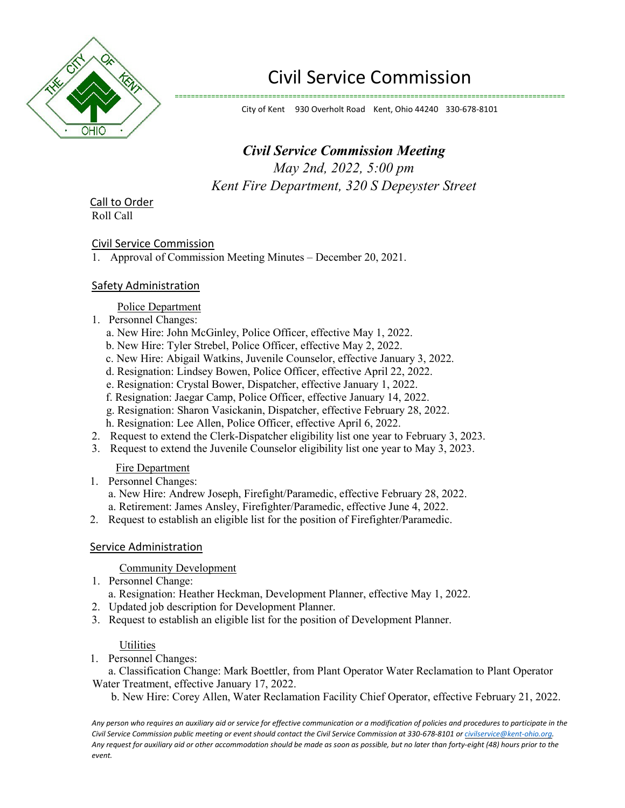

# Civil Service Commission

================================================================================================

City of Kent 930 Overholt Road Kent, Ohio 44240 330-678-8101

# *Civil Service Commission Meeting May 2nd, 2022, 5:00 pm Kent Fire Department, 320 S Depeyster Street*

Call to Order Roll Call

Civil Service Commission

1. Approval of Commission Meeting Minutes – December 20, 2021.

#### Safety Administration

Police Department

- 1. Personnel Changes:
	- a. New Hire: John McGinley, Police Officer, effective May 1, 2022.
	- b. New Hire: Tyler Strebel, Police Officer, effective May 2, 2022.
	- c. New Hire: Abigail Watkins, Juvenile Counselor, effective January 3, 2022.
	- d. Resignation: Lindsey Bowen, Police Officer, effective April 22, 2022.
	- e. Resignation: Crystal Bower, Dispatcher, effective January 1, 2022.
	- f. Resignation: Jaegar Camp, Police Officer, effective January 14, 2022.
	- g. Resignation: Sharon Vasickanin, Dispatcher, effective February 28, 2022.
	- h. Resignation: Lee Allen, Police Officer, effective April 6, 2022.
- 2. Request to extend the Clerk-Dispatcher eligibility list one year to February 3, 2023.
- 3. Request to extend the Juvenile Counselor eligibility list one year to May 3, 2023.

#### Fire Department

- 1. Personnel Changes:
	- a. New Hire: Andrew Joseph, Firefight/Paramedic, effective February 28, 2022. a. Retirement: James Ansley, Firefighter/Paramedic, effective June 4, 2022.
- 2. Request to establish an eligible list for the position of Firefighter/Paramedic.

#### Service Administration

Community Development

- 1. Personnel Change:
	- a. Resignation: Heather Heckman, Development Planner, effective May 1, 2022.
- 2. Updated job description for Development Planner.
- 3. Request to establish an eligible list for the position of Development Planner.

#### **Utilities**

1. Personnel Changes:

a. Classification Change: Mark Boettler, from Plant Operator Water Reclamation to Plant Operator Water Treatment, effective January 17, 2022.

b. New Hire: Corey Allen, Water Reclamation Facility Chief Operator, effective February 21, 2022.

*Any person who requires an auxiliary aid or service for effective communication or a modification of policies and procedures to participate in the Civil Service Commission public meeting or event should contact the Civil Service Commission at 330-678-8101 o[r civilservice@kent-ohio.org.](mailto:civilservice@kent-ohio.org)  Any request for auxiliary aid or other accommodation should be made as soon as possible, but no later than forty-eight (48) hours prior to the event.*